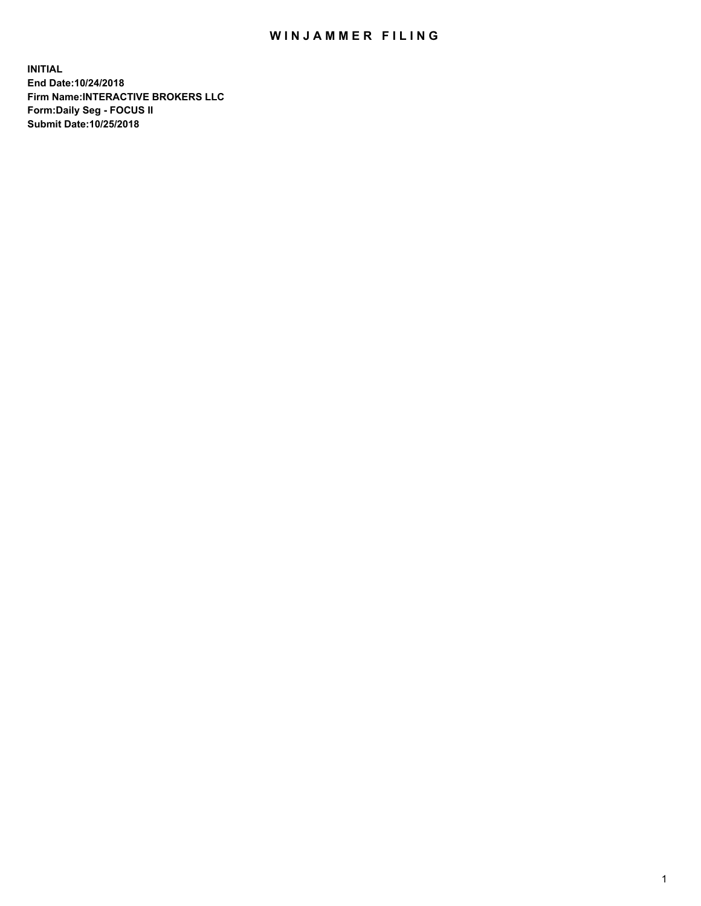## WIN JAMMER FILING

**INITIAL End Date:10/24/2018 Firm Name:INTERACTIVE BROKERS LLC Form:Daily Seg - FOCUS II Submit Date:10/25/2018**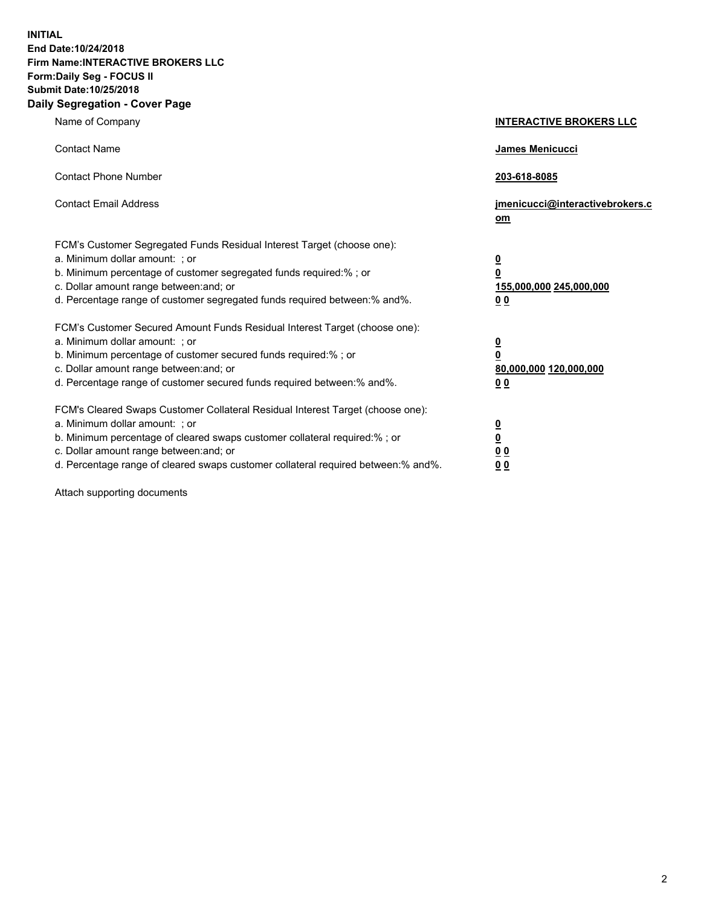**INITIAL End Date:10/24/2018 Firm Name:INTERACTIVE BROKERS LLC Form:Daily Seg - FOCUS II Submit Date:10/25/2018 Daily Segregation - Cover Page**

| Name of Company                                                                                                                                                                                                                                                                                                                | <b>INTERACTIVE BROKERS LLC</b>                                                                  |
|--------------------------------------------------------------------------------------------------------------------------------------------------------------------------------------------------------------------------------------------------------------------------------------------------------------------------------|-------------------------------------------------------------------------------------------------|
| <b>Contact Name</b>                                                                                                                                                                                                                                                                                                            | James Menicucci                                                                                 |
| <b>Contact Phone Number</b>                                                                                                                                                                                                                                                                                                    | 203-618-8085                                                                                    |
| <b>Contact Email Address</b>                                                                                                                                                                                                                                                                                                   | jmenicucci@interactivebrokers.c<br>om                                                           |
| FCM's Customer Segregated Funds Residual Interest Target (choose one):<br>a. Minimum dollar amount: ; or<br>b. Minimum percentage of customer segregated funds required:% ; or<br>c. Dollar amount range between: and; or<br>d. Percentage range of customer segregated funds required between:% and%.                         | $\overline{\mathbf{0}}$<br>$\overline{\mathbf{0}}$<br>155,000,000 245,000,000<br>0 <sub>0</sub> |
| FCM's Customer Secured Amount Funds Residual Interest Target (choose one):<br>a. Minimum dollar amount: ; or<br>b. Minimum percentage of customer secured funds required:%; or<br>c. Dollar amount range between: and; or<br>d. Percentage range of customer secured funds required between:% and%.                            | $\overline{\mathbf{0}}$<br>$\overline{\mathbf{0}}$<br>80,000,000 120,000,000<br>0 <sub>0</sub>  |
| FCM's Cleared Swaps Customer Collateral Residual Interest Target (choose one):<br>a. Minimum dollar amount: ; or<br>b. Minimum percentage of cleared swaps customer collateral required:% ; or<br>c. Dollar amount range between: and; or<br>d. Percentage range of cleared swaps customer collateral required between:% and%. | $\overline{\mathbf{0}}$<br>$\underline{\mathbf{0}}$<br>0 <sub>0</sub><br>0 <sub>0</sub>         |

Attach supporting documents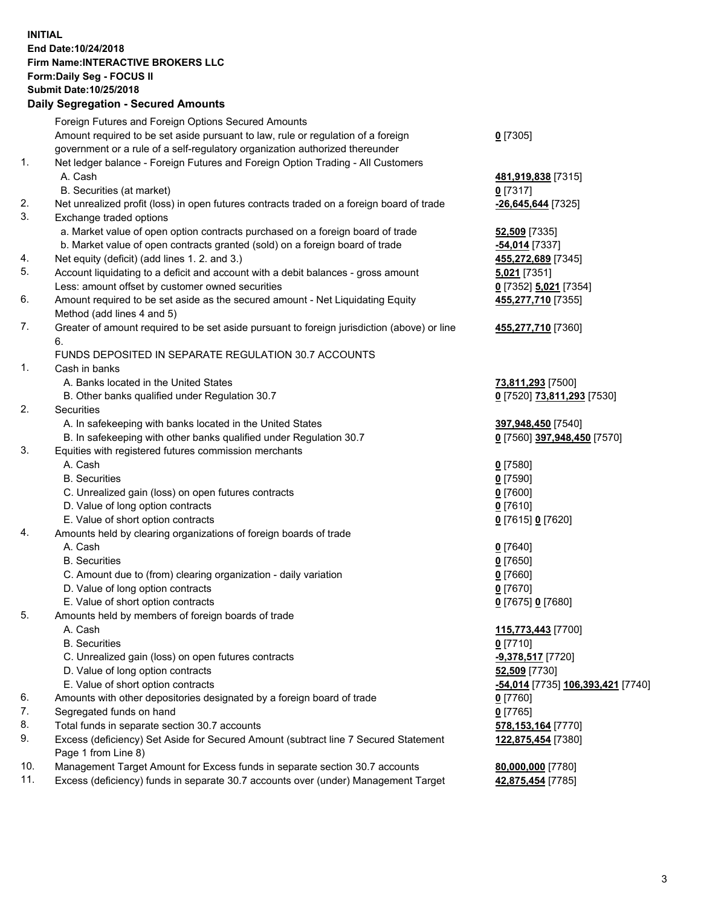## **INITIAL End Date:10/24/2018 Firm Name:INTERACTIVE BROKERS LLC Form:Daily Seg - FOCUS II Submit Date:10/25/2018 Daily Segregation - Secured Amounts**

|     | Dany Segregation - Secured Amounts                                                          |                                                |
|-----|---------------------------------------------------------------------------------------------|------------------------------------------------|
|     | Foreign Futures and Foreign Options Secured Amounts                                         |                                                |
|     | Amount required to be set aside pursuant to law, rule or regulation of a foreign            | $0$ [7305]                                     |
|     | government or a rule of a self-regulatory organization authorized thereunder                |                                                |
| 1.  | Net ledger balance - Foreign Futures and Foreign Option Trading - All Customers             |                                                |
|     | A. Cash                                                                                     | 481,919,838 [7315]                             |
|     | B. Securities (at market)                                                                   | $0$ [7317]                                     |
| 2.  | Net unrealized profit (loss) in open futures contracts traded on a foreign board of trade   | -26,645,644 [7325]                             |
| 3.  | Exchange traded options                                                                     |                                                |
|     | a. Market value of open option contracts purchased on a foreign board of trade              | 52,509 [7335]                                  |
|     | b. Market value of open contracts granted (sold) on a foreign board of trade                | -54,014 [7337]                                 |
| 4.  | Net equity (deficit) (add lines 1. 2. and 3.)                                               | 455,272,689 [7345]                             |
| 5.  | Account liquidating to a deficit and account with a debit balances - gross amount           | 5,021 [7351]                                   |
|     | Less: amount offset by customer owned securities                                            | 0 [7352] 5,021 [7354]                          |
| 6.  | Amount required to be set aside as the secured amount - Net Liquidating Equity              | 455,277,710 [7355]                             |
|     | Method (add lines 4 and 5)                                                                  |                                                |
| 7.  | Greater of amount required to be set aside pursuant to foreign jurisdiction (above) or line | 455,277,710 [7360]                             |
|     | 6.                                                                                          |                                                |
|     | FUNDS DEPOSITED IN SEPARATE REGULATION 30.7 ACCOUNTS                                        |                                                |
| 1.  | Cash in banks                                                                               |                                                |
|     | A. Banks located in the United States                                                       | 73,811,293 [7500]                              |
|     | B. Other banks qualified under Regulation 30.7                                              | 0 [7520] 73,811,293 [7530]                     |
| 2.  | Securities                                                                                  |                                                |
|     | A. In safekeeping with banks located in the United States                                   | 397,948,450 [7540]                             |
|     | B. In safekeeping with other banks qualified under Regulation 30.7                          | 0 [7560] 397,948,450 [7570]                    |
| 3.  | Equities with registered futures commission merchants                                       |                                                |
|     | A. Cash                                                                                     | $0$ [7580]                                     |
|     | <b>B.</b> Securities                                                                        | $0$ [7590]                                     |
|     | C. Unrealized gain (loss) on open futures contracts                                         | $0$ [7600]                                     |
|     | D. Value of long option contracts                                                           | $0$ [7610]                                     |
|     | E. Value of short option contracts                                                          | 0 [7615] 0 [7620]                              |
| 4.  | Amounts held by clearing organizations of foreign boards of trade                           |                                                |
|     | A. Cash                                                                                     | $Q$ [7640]                                     |
|     | <b>B.</b> Securities                                                                        | $0$ [7650]                                     |
|     | C. Amount due to (from) clearing organization - daily variation                             | $0$ [7660]                                     |
|     | D. Value of long option contracts                                                           | $0$ [7670]                                     |
|     | E. Value of short option contracts                                                          | 0 [7675] 0 [7680]                              |
| 5.  | Amounts held by members of foreign boards of trade                                          |                                                |
|     | A. Cash                                                                                     | 115,773,443 [7700]                             |
|     | <b>B.</b> Securities                                                                        | $0$ [7710]                                     |
|     | C. Unrealized gain (loss) on open futures contracts                                         | -9,378,517 [7720]                              |
|     | D. Value of long option contracts                                                           | 52,509 [7730]                                  |
|     | E. Value of short option contracts                                                          | <mark>-54,014</mark> [7735] 106,393,421 [7740] |
| 6.  | Amounts with other depositories designated by a foreign board of trade                      | $0$ [7760]                                     |
| 7.  | Segregated funds on hand                                                                    | $0$ [7765]                                     |
| 8.  | Total funds in separate section 30.7 accounts                                               | 578,153,164 [7770]                             |
| 9.  | Excess (deficiency) Set Aside for Secured Amount (subtract line 7 Secured Statement         | 122,875,454 [7380]                             |
|     | Page 1 from Line 8)                                                                         |                                                |
| 10. | Management Target Amount for Excess funds in separate section 30.7 accounts                 | 80,000,000 [7780]                              |
| 11. | Excess (deficiency) funds in separate 30.7 accounts over (under) Management Target          | 42,875,454 [7785]                              |
|     |                                                                                             |                                                |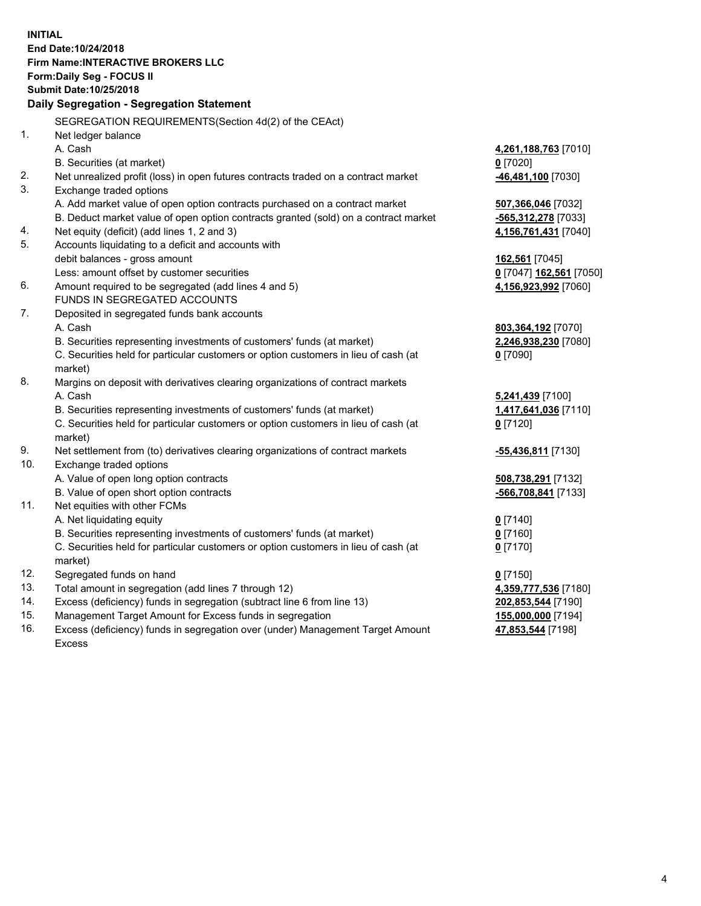|     | <b>INITIAL</b><br>End Date: 10/24/2018<br><b>Firm Name: INTERACTIVE BROKERS LLC</b><br>Form: Daily Seg - FOCUS II |                           |
|-----|-------------------------------------------------------------------------------------------------------------------|---------------------------|
|     | Submit Date: 10/25/2018                                                                                           |                           |
|     | Daily Segregation - Segregation Statement                                                                         |                           |
|     | SEGREGATION REQUIREMENTS(Section 4d(2) of the CEAct)                                                              |                           |
| 1.  | Net ledger balance                                                                                                |                           |
|     | A. Cash                                                                                                           | 4,261,188,763 [7010]      |
|     | B. Securities (at market)                                                                                         | $0$ [7020]                |
| 2.  | Net unrealized profit (loss) in open futures contracts traded on a contract market                                | 46,481,100 [7030]         |
| 3.  | Exchange traded options                                                                                           |                           |
|     | A. Add market value of open option contracts purchased on a contract market                                       | 507,366,046 [7032]        |
|     | B. Deduct market value of open option contracts granted (sold) on a contract market                               | -565,312,278 [7033]       |
| 4.  | Net equity (deficit) (add lines 1, 2 and 3)                                                                       | 4,156,761,431 [7040]      |
| 5.  | Accounts liquidating to a deficit and accounts with                                                               |                           |
|     | debit balances - gross amount                                                                                     | 162,561 [7045]            |
|     | Less: amount offset by customer securities                                                                        | 0 [7047] 162,561 [7050]   |
| 6.  | Amount required to be segregated (add lines 4 and 5)                                                              | 4,156,923,992 [7060]      |
|     | FUNDS IN SEGREGATED ACCOUNTS                                                                                      |                           |
| 7.  | Deposited in segregated funds bank accounts                                                                       |                           |
|     | A. Cash                                                                                                           | 803,364,192 [7070]        |
|     | B. Securities representing investments of customers' funds (at market)                                            | 2,246,938,230 [7080]      |
|     | C. Securities held for particular customers or option customers in lieu of cash (at                               | $0$ [7090]                |
|     | market)                                                                                                           |                           |
| 8.  | Margins on deposit with derivatives clearing organizations of contract markets                                    |                           |
|     | A. Cash                                                                                                           | 5,241,439 [7100]          |
|     | B. Securities representing investments of customers' funds (at market)                                            | 1,417,641,036 [7110]      |
|     | C. Securities held for particular customers or option customers in lieu of cash (at                               | $0$ [7120]                |
|     | market)                                                                                                           |                           |
| 9.  | Net settlement from (to) derivatives clearing organizations of contract markets                                   | <u>-55,436,811</u> [7130] |
| 10. | Exchange traded options                                                                                           |                           |
|     | A. Value of open long option contracts                                                                            | 508,738,291 [7132]        |
|     | B. Value of open short option contracts                                                                           | -566,708,841 [7133]       |
| 11. | Net equities with other FCMs                                                                                      |                           |
|     | A. Net liquidating equity                                                                                         | $0$ [7140]                |
|     | B. Securities representing investments of customers' funds (at market)                                            | $0$ [7160]                |
|     | C. Securities held for particular customers or option customers in lieu of cash (at                               | $0$ [7170]                |
|     | market)                                                                                                           |                           |
| 12. | Segregated funds on hand                                                                                          | $0$ [7150]                |
| 13. | Total amount in segregation (add lines 7 through 12)                                                              | 4,359,777,536 [7180]      |
| 14. | Excess (deficiency) funds in segregation (subtract line 6 from line 13)                                           | 202,853,544 [7190]        |
| 15. | Management Target Amount for Excess funds in segregation                                                          | 155,000,000 [7194]        |
| 16. | Excess (deficiency) funds in segregation over (under) Management Target Amount                                    | 47,853,544 [7198]         |

16. Excess (deficiency) funds in segregation over (under) Management Target Amount Excess